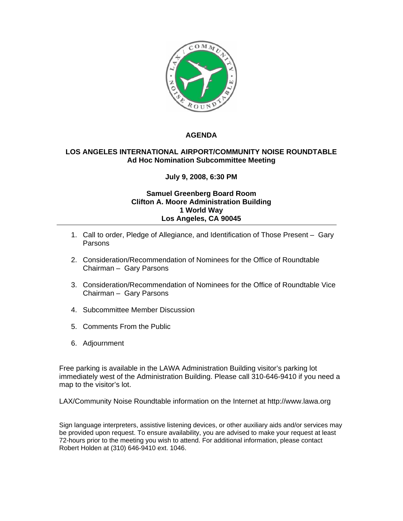

## **AGENDA**

## **LOS ANGELES INTERNATIONAL AIRPORT/COMMUNITY NOISE ROUNDTABLE Ad Hoc Nomination Subcommittee Meeting**

## **July 9, 2008, 6:30 PM**

## **Samuel Greenberg Board Room Clifton A. Moore Administration Building 1 World Way Los Angeles, CA 90045**

- 1. Call to order, Pledge of Allegiance, and Identification of Those Present Gary Parsons
- 2. Consideration/Recommendation of Nominees for the Office of Roundtable Chairman – Gary Parsons
- 3. Consideration/Recommendation of Nominees for the Office of Roundtable Vice Chairman – Gary Parsons
- 4. Subcommittee Member Discussion
- 5. Comments From the Public
- 6. Adjournment

Free parking is available in the LAWA Administration Building visitor's parking lot immediately west of the Administration Building. Please call 310-646-9410 if you need a map to the visitor's lot.

LAX/Community Noise Roundtable information on the Internet at http://www.lawa.org

Sign language interpreters, assistive listening devices, or other auxiliary aids and/or services may be provided upon request. To ensure availability, you are advised to make your request at least 72-hours prior to the meeting you wish to attend. For additional information, please contact Robert Holden at (310) 646-9410 ext. 1046.